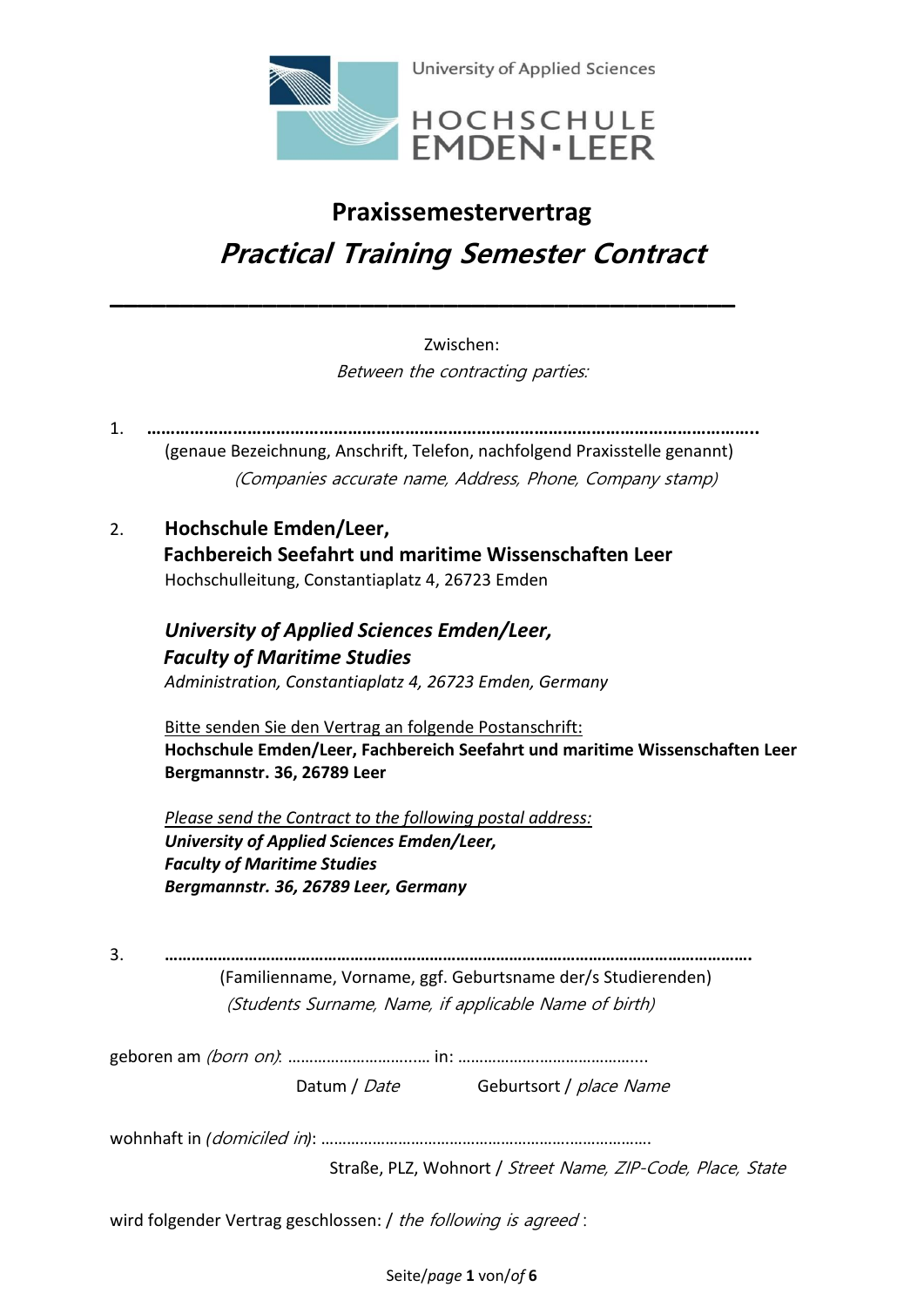

# **Praxissemestervertrag Practical Training Semester Contract**

Zwischen: Between the contracting parties:

1. **………………………………………………………………………………………………………………..** (genaue Bezeichnung, Anschrift, Telefon, nachfolgend Praxisstelle genannt) (Companies accurate name, Address, Phone, Company stamp)

**\_\_\_\_\_\_\_\_\_\_\_\_\_\_\_\_\_\_\_\_\_\_\_\_\_\_\_\_\_\_\_\_\_\_\_\_\_\_\_\_\_\_\_\_\_**

2. **Hochschule Emden/Leer, Fachbereich Seefahrt und maritime Wissenschaften Leer** Hochschulleitung, Constantiaplatz 4, 26723 Emden

*University of Applied Sciences Emden/Leer, Faculty of Maritime Studies Administration, Constantiaplatz 4, 26723 Emden, Germany*

Bitte senden Sie den Vertrag an folgende Postanschrift: **Hochschule Emden/Leer, Fachbereich Seefahrt und maritime Wissenschaften Leer Bergmannstr. 36, 26789 Leer**

*Please send the Contract to the following postal address: University of Applied Sciences Emden/Leer, Faculty of Maritime Studies Bergmannstr. 36, 26789 Leer, Germany*

3. **…………………………………………………………………………………………………………………….** (Familienname, Vorname, ggf. Geburtsname der/s Studierenden) (Students Surname, Name, if applicable Name of birth)

geboren am (born on): ………………………...… in: ……………….…………………....

Datum / Date Geburtsort / place Name

wohnhaft in *(*domiciled in*)*: ………………………………………………….……………….

Straße, PLZ, Wohnort / Street Name, ZIP-Code, Place, State

wird folgender Vertrag geschlossen: / the following is agreed:

Seite/*page* **1** von/*of* **6**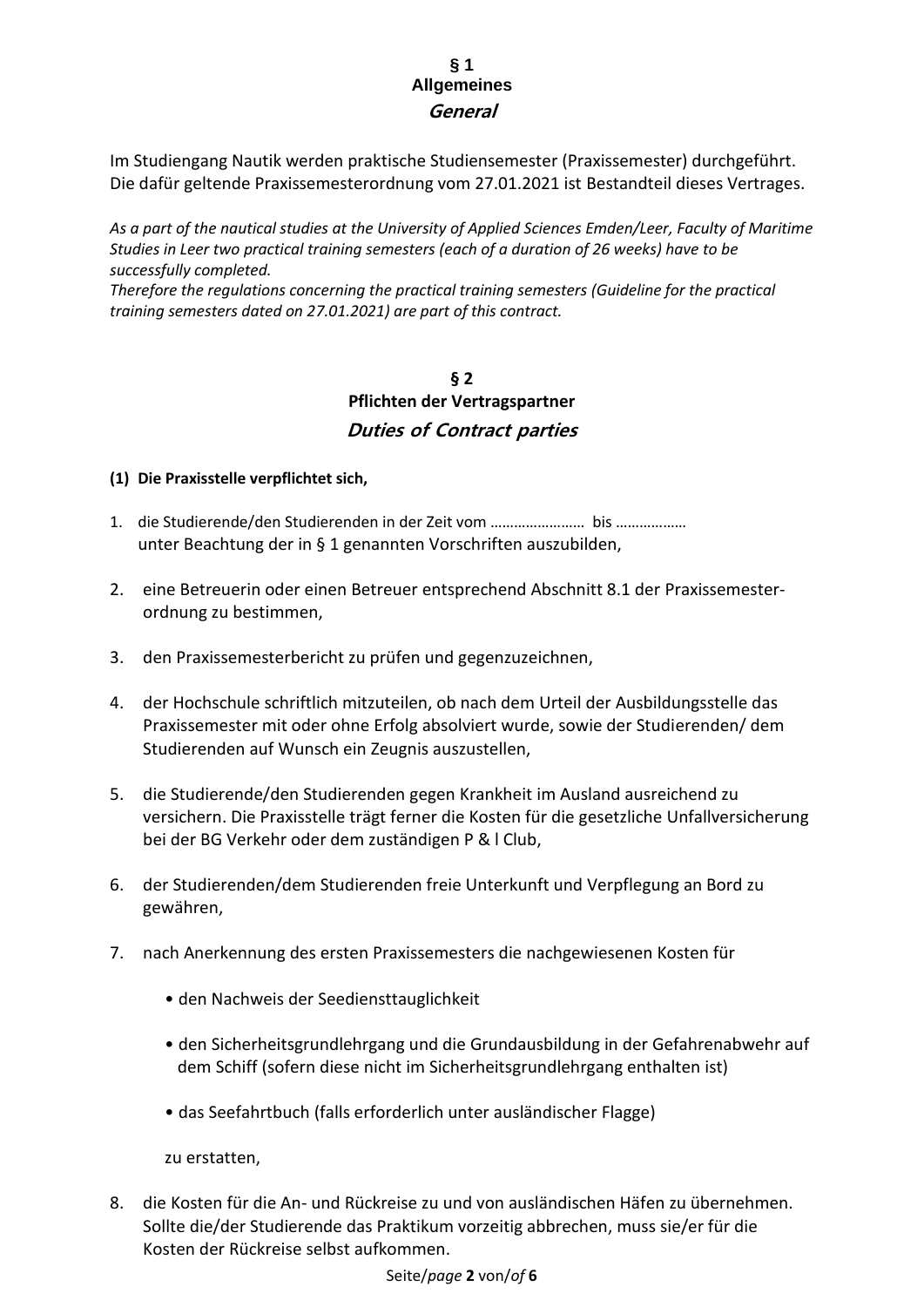## **§ 1 Allgemeines General**

Im Studiengang Nautik werden praktische Studiensemester (Praxissemester) durchgeführt. Die dafür geltende Praxissemesterordnung vom 27.01.2021 ist Bestandteil dieses Vertrages.

*As a part of the nautical studies at the University of Applied Sciences Emden/Leer, Faculty of Maritime Studies in Leer two practical training semesters (each of a duration of 26 weeks) have to be successfully completed.*

*Therefore the regulations concerning the practical training semesters (Guideline for the practical training semesters dated on 27.01.2021) are part of this contract.*

## **§ 2 Pflichten der Vertragspartner Duties of Contract parties**

- **(1) Die Praxisstelle verpflichtet sich,**
- 1. die Studierende/den Studierenden in der Zeit vom …………………… bis ……………… unter Beachtung der in § 1 genannten Vorschriften auszubilden,
- 2. eine Betreuerin oder einen Betreuer entsprechend Abschnitt 8.1 der Praxissemesterordnung zu bestimmen,
- 3. den Praxissemesterbericht zu prüfen und gegenzuzeichnen,
- 4. der Hochschule schriftlich mitzuteilen, ob nach dem Urteil der Ausbildungsstelle das Praxissemester mit oder ohne Erfolg absolviert wurde, sowie der Studierenden/ dem Studierenden auf Wunsch ein Zeugnis auszustellen,
- 5. die Studierende/den Studierenden gegen Krankheit im Ausland ausreichend zu versichern. Die Praxisstelle trägt ferner die Kosten für die gesetzliche Unfallversicherung bei der BG Verkehr oder dem zuständigen P & l Club,
- 6. der Studierenden/dem Studierenden freie Unterkunft und Verpflegung an Bord zu gewähren,
- 7. nach Anerkennung des ersten Praxissemesters die nachgewiesenen Kosten für
	- den Nachweis der Seediensttauglichkeit
	- den Sicherheitsgrundlehrgang und die Grundausbildung in der Gefahrenabwehr auf dem Schiff (sofern diese nicht im Sicherheitsgrundlehrgang enthalten ist)
	- das Seefahrtbuch (falls erforderlich unter ausländischer Flagge)

zu erstatten,

8. die Kosten für die An- und Rückreise zu und von ausländischen Häfen zu übernehmen. Sollte die/der Studierende das Praktikum vorzeitig abbrechen, muss sie/er für die Kosten der Rückreise selbst aufkommen.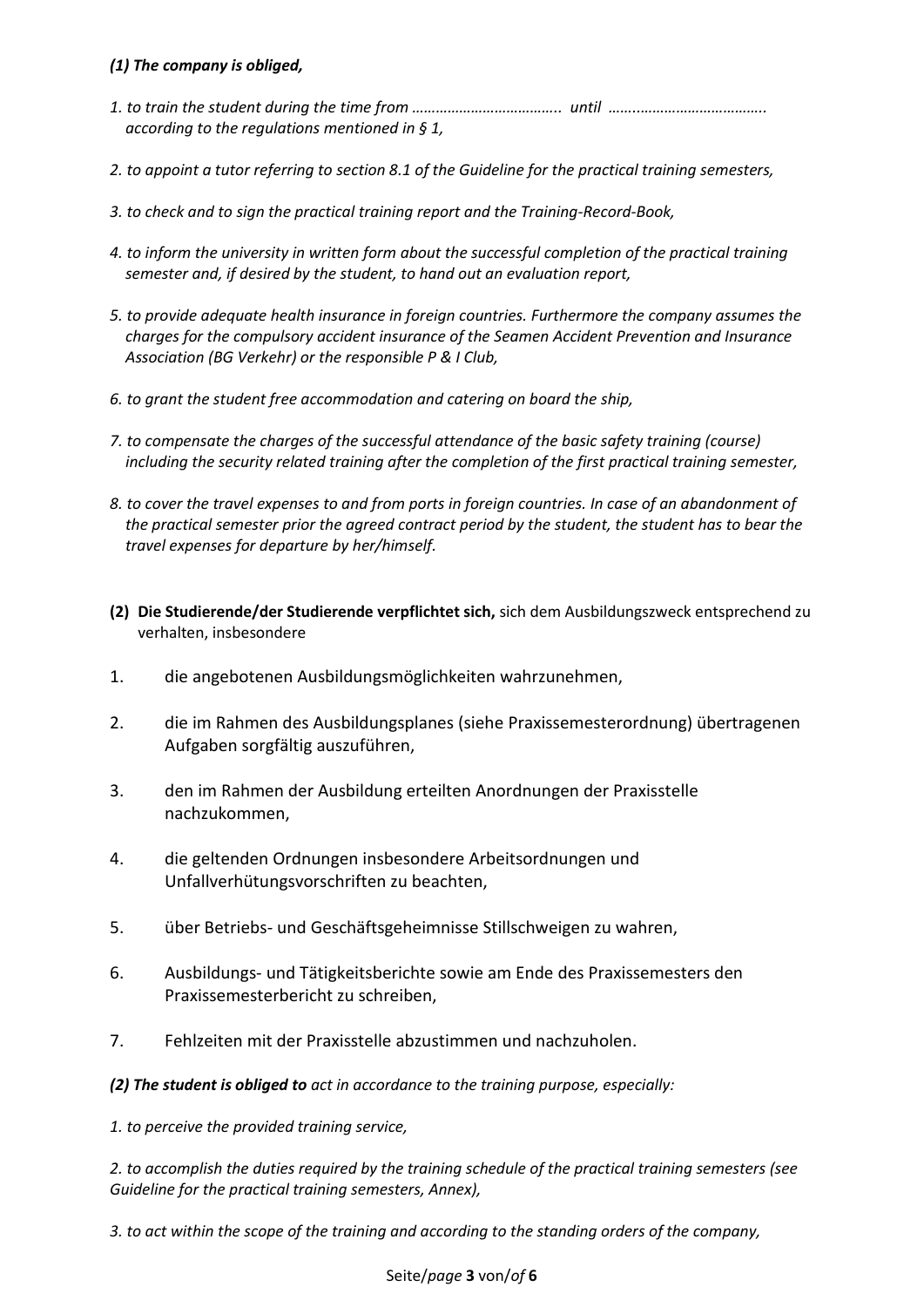### *(1) The company is obliged,*

- *1. to train the student during the time from ……………………………….. until ……..………………………….. according to the regulations mentioned in § 1,*
- *2. to appoint a tutor referring to section 8.1 of the Guideline for the practical training semesters,*
- *3. to check and to sign the practical training report and the Training-Record-Book,*
- *4. to inform the university in written form about the successful completion of the practical training semester and, if desired by the student, to hand out an evaluation report,*
- *5. to provide adequate health insurance in foreign countries. Furthermore the company assumes the charges for the compulsory accident insurance of the Seamen Accident Prevention and Insurance Association (BG Verkehr) or the responsible P & I Club,*
- *6. to grant the student free accommodation and catering on board the ship,*
- *7. to compensate the charges of the successful attendance of the basic safety training (course) including the security related training after the completion of the first practical training semester,*
- *8. to cover the travel expenses to and from ports in foreign countries. In case of an abandonment of the practical semester prior the agreed contract period by the student, the student has to bear the travel expenses for departure by her/himself.*
- **(2) Die Studierende/der Studierende verpflichtet sich,** sich dem Ausbildungszweck entsprechend zu verhalten, insbesondere
- 1. die angebotenen Ausbildungsmöglichkeiten wahrzunehmen,
- 2. die im Rahmen des Ausbildungsplanes (siehe Praxissemesterordnung) übertragenen Aufgaben sorgfältig auszuführen,
- 3. den im Rahmen der Ausbildung erteilten Anordnungen der Praxisstelle nachzukommen,
- 4. die geltenden Ordnungen insbesondere Arbeitsordnungen und Unfallverhütungsvorschriften zu beachten,
- 5. über Betriebs- und Geschäftsgeheimnisse Stillschweigen zu wahren,
- 6. Ausbildungs- und Tätigkeitsberichte sowie am Ende des Praxissemesters den Praxissemesterbericht zu schreiben,
- 7. Fehlzeiten mit der Praxisstelle abzustimmen und nachzuholen.

*(2) The student is obliged to act in accordance to the training purpose, especially:*

*1. to perceive the provided training service,*

*2. to accomplish the duties required by the training schedule of the practical training semesters (see Guideline for the practical training semesters, Annex),*

*3. to act within the scope of the training and according to the standing orders of the company,*

### Seite/*page* **3** von/*of* **6**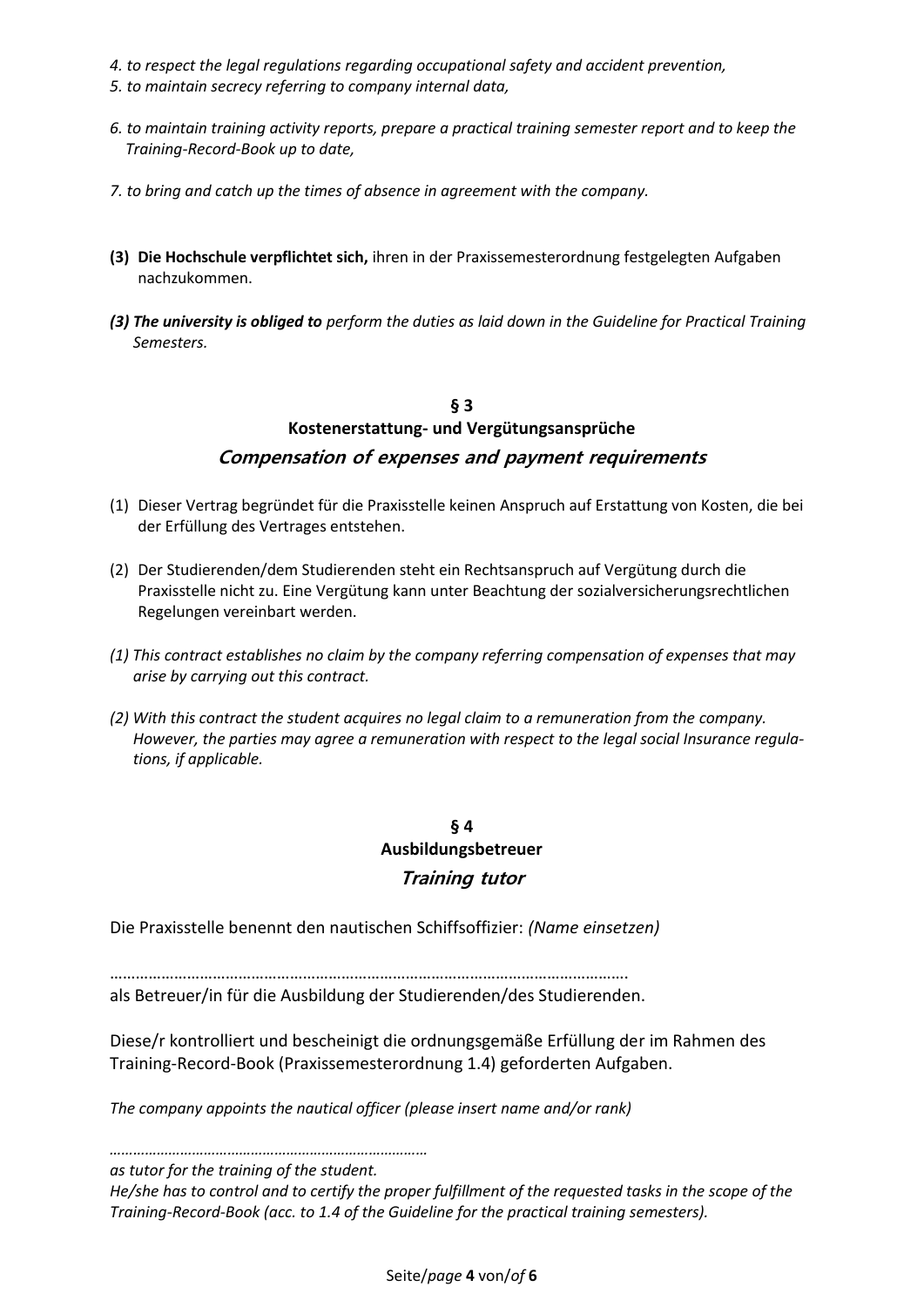- *4. to respect the legal regulations regarding occupational safety and accident prevention,*
- *5. to maintain secrecy referring to company internal data,*
- *6. to maintain training activity reports, prepare a practical training semester report and to keep the Training-Record-Book up to date,*
- *7. to bring and catch up the times of absence in agreement with the company.*
- **(3) Die Hochschule verpflichtet sich,** ihren in der Praxissemesterordnung festgelegten Aufgaben nachzukommen.
- *(3) The university is obliged to perform the duties as laid down in the Guideline for Practical Training Semesters.*

## **§ 3 Kostenerstattung- und Vergütungsansprüche Compensation of expenses and payment requirements**

- (1) Dieser Vertrag begründet für die Praxisstelle keinen Anspruch auf Erstattung von Kosten, die bei der Erfüllung des Vertrages entstehen.
- (2) Der Studierenden/dem Studierenden steht ein Rechtsanspruch auf Vergütung durch die Praxisstelle nicht zu. Eine Vergütung kann unter Beachtung der sozialversicherungsrechtlichen Regelungen vereinbart werden.
- *(1) This contract establishes no claim by the company referring compensation of expenses that may arise by carrying out this contract.*
- *(2) With this contract the student acquires no legal claim to a remuneration from the company. However, the parties may agree a remuneration with respect to the legal social Insurance regula tions, if applicable.*

## **§ 4 Ausbildungsbetreuer Training tutor**

Die Praxisstelle benennt den nautischen Schiffsoffizier: *(Name einsetzen)*

…………………………………………………………………………………………………………. als Betreuer/in für die Ausbildung der Studierenden/des Studierenden.

Diese/r kontrolliert und bescheinigt die ordnungsgemäße Erfüllung der im Rahmen des Training-Record-Book (Praxissemesterordnung 1.4) geforderten Aufgaben.

*The company appoints the nautical officer (please insert name and/or rank)* 

*……………………………………………………………………… as tutor for the training of the student.* 

*He/she has to control and to certify the proper fulfillment of the requested tasks in the scope of the Training-Record-Book (acc. to 1.4 of the Guideline for the practical training semesters).*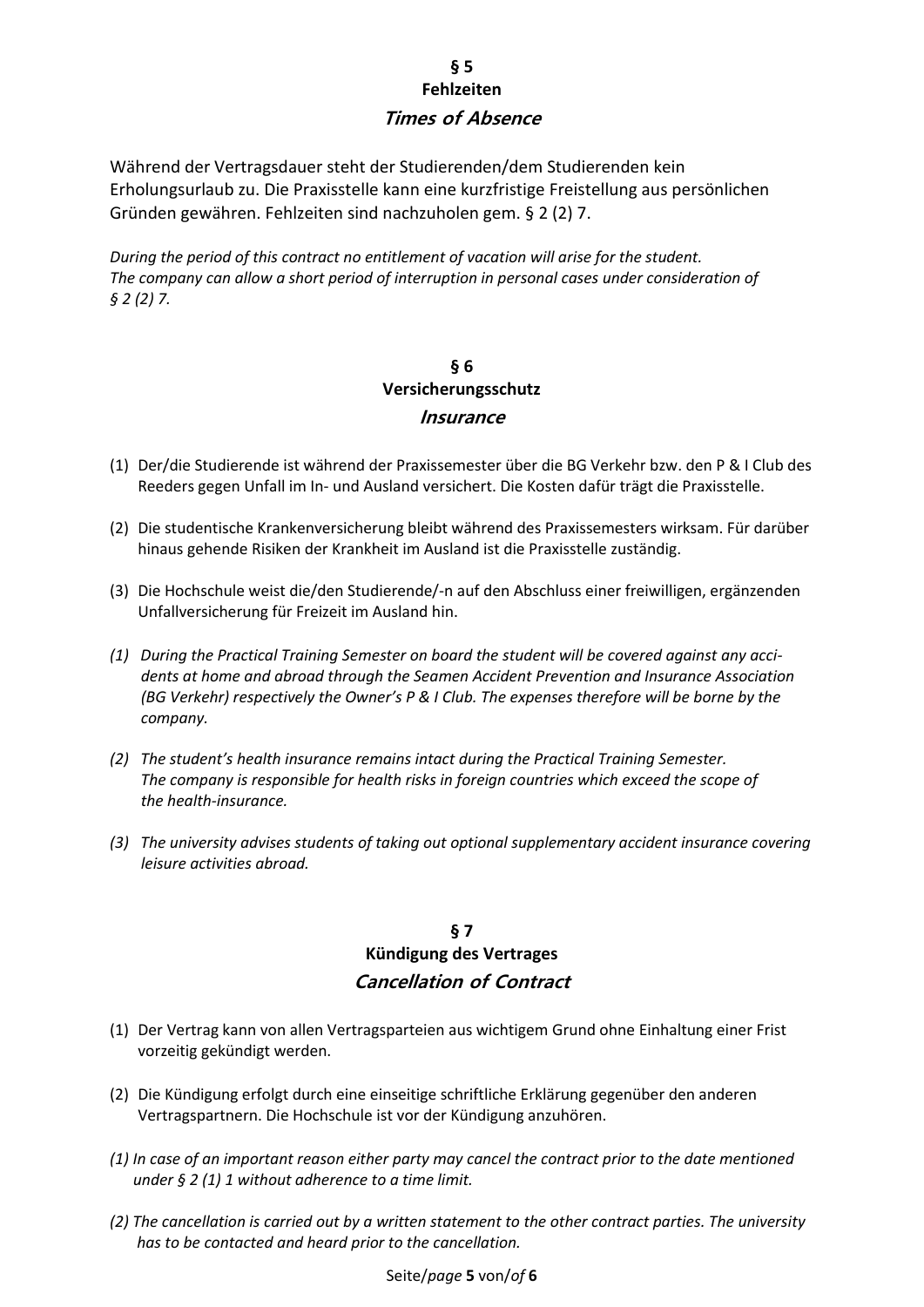## **§ 5 Fehlzeiten Times of Absence**

Während der Vertragsdauer steht der Studierenden/dem Studierenden kein Erholungsurlaub zu. Die Praxisstelle kann eine kurzfristige Freistellung aus persönlichen Gründen gewähren. Fehlzeiten sind nachzuholen gem. § 2 (2) 7.

*During the period of this contract no entitlement of vacation will arise for the student. The company can allow a short period of interruption in personal cases under consideration of § 2 (2) 7.* 

# **§ 6 Versicherungsschutz Insurance**

- (1) Der/die Studierende ist während der Praxissemester über die BG Verkehr bzw. den P & I Club des Reeders gegen Unfall im In- und Ausland versichert. Die Kosten dafür trägt die Praxisstelle.
- (2) Die studentische Krankenversicherung bleibt während des Praxissemesters wirksam. Für darüber hinaus gehende Risiken der Krankheit im Ausland ist die Praxisstelle zuständig.
- (3) Die Hochschule weist die/den Studierende/-n auf den Abschluss einer freiwilligen, ergänzenden Unfallversicherung für Freizeit im Ausland hin.
- *(1) During the Practical Training Semester on board the student will be covered against any acci dents at home and abroad through the Seamen Accident Prevention and Insurance Association (BG Verkehr) respectively the Owner's P & I Club. The expenses therefore will be borne by the company.*
- *(2) The student's health insurance remains intact during the Practical Training Semester. The company is responsible for health risks in foreign countries which exceed the scope of the health-insurance.*
- *(3) The university advises students of taking out optional supplementary accident insurance covering leisure activities abroad.*

## **§ 7 Kündigung des Vertrages Cancellation of Contract**

- (1) Der Vertrag kann von allen Vertragsparteien aus wichtigem Grund ohne Einhaltung einer Frist vorzeitig gekündigt werden.
- (2) Die Kündigung erfolgt durch eine einseitige schriftliche Erklärung gegenüber den anderen Vertragspartnern. Die Hochschule ist vor der Kündigung anzuhören.
- *(1) In case of an important reason either party may cancel the contract prior to the date mentioned under § 2 (1) 1 without adherence to a time limit.*
- *(2) The cancellation is carried out by a written statement to the other contract parties. The university has to be contacted and heard prior to the cancellation.*

### Seite/*page* **5** von/*of* **6**